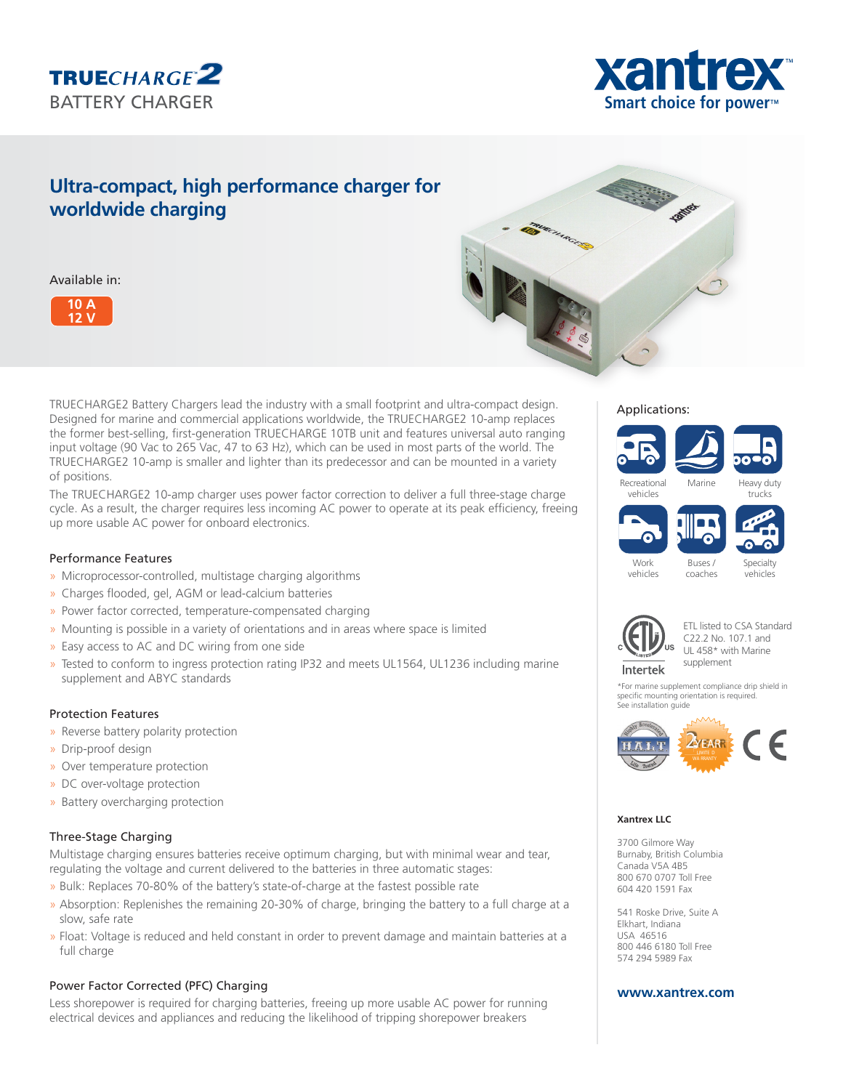



# **Ultra-compact, high performance charger for worldwide charging**

Available in:





TRUECHARGE2 Battery Chargers lead the industry with a small footprint and ultra-compact design. Designed for marine and commercial applications worldwide, the TRUECHARGE2 10-amp replaces the former best-selling, first-generation TRUECHARGE 10TB unit and features universal auto ranging input voltage (90 Vac to 265 Vac, 47 to 63 Hz), which can be used in most parts of the world. The TRUECHARGE2 10-amp is smaller and lighter than its predecessor and can be mounted in a variety of positions.

The TRUECHARGE2 10-amp charger uses power factor correction to deliver a full three-stage charge cycle. As a result, the charger requires less incoming AC power to operate at its peak efficiency, freeing up more usable AC power for onboard electronics.

## Performance Features

- » Microprocessor-controlled, multistage charging algorithms
- » Charges flooded, gel, AGM or lead-calcium batteries
- » Power factor corrected, temperature-compensated charging
- » Mounting is possible in a variety of orientations and in areas where space is limited
- » Easy access to AC and DC wiring from one side
- » Tested to conform to ingress protection rating IP32 and meets UL1564, UL1236 including marine supplement and ABYC standards

#### Protection Features

- » Reverse battery polarity protection
- » Drip-proof design
- » Over temperature protection
- » DC over-voltage protection
- » Battery overcharging protection

# Three-Stage Charging

Multistage charging ensures batteries receive optimum charging, but with minimal wear and tear, regulating the voltage and current delivered to the batteries in three automatic stages:

- » Bulk: Replaces 70-80% of the battery's state-of-charge at the fastest possible rate
- » Absorption: Replenishes the remaining 20-30% of charge, bringing the battery to a full charge at a slow, safe rate
- » Float: Voltage is reduced and held constant in order to prevent damage and maintain batteries at a full charge

# Power Factor Corrected (PFC) Charging

Less shorepower is required for charging batteries, freeing up more usable AC power for running electrical devices and appliances and reducing the likelihood of tripping shorepower breakers

#### Applications:



Buses / coaches





Work vehicles

Specialty vehicles





\*For marine supplement compliance drip shield in specific mounting orientation is required. See installation guide



#### **Xantrex LLC**

3700 Gilmore Way Burnaby, British Columbia Canada V5A 4B5 800 670 0707 Toll Free 604 420 1591 Fax

541 Roske Drive, Suite A Elkhart, Indiana USA 46516 800 446 6180 Toll Free 574 294 5989 Fax

## **www.xantrex.com**